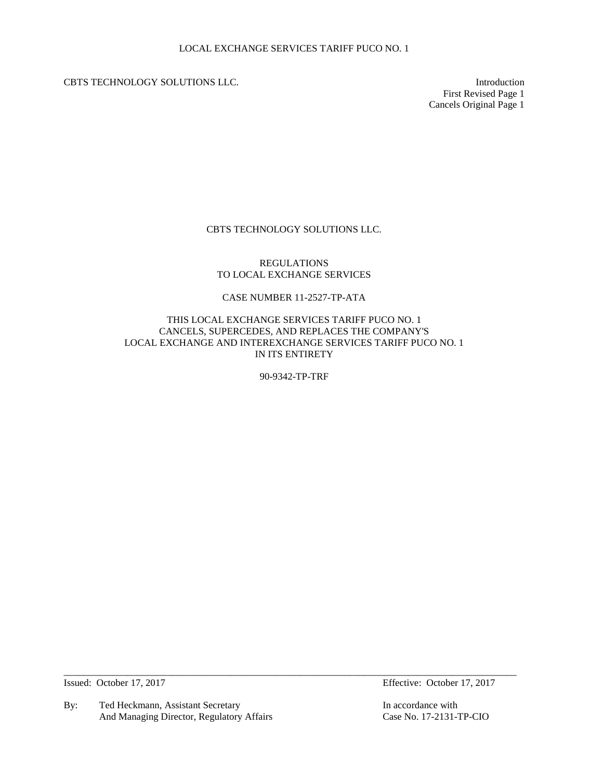CBTS TECHNOLOGY SOLUTIONS LLC. Introduction

First Revised Page 1 Cancels Original Page 1

# CBTS TECHNOLOGY SOLUTIONS LLC.

## REGULATIONS TO LOCAL EXCHANGE SERVICES

# CASE NUMBER 11-2527-TP-ATA

## THIS LOCAL EXCHANGE SERVICES TARIFF PUCO NO. 1 CANCELS, SUPERCEDES, AND REPLACES THE COMPANY'S LOCAL EXCHANGE AND INTEREXCHANGE SERVICES TARIFF PUCO NO. 1 IN ITS ENTIRETY

90-9342-TP-TRF

 $\_$  ,  $\_$  ,  $\_$  ,  $\_$  ,  $\_$  ,  $\_$  ,  $\_$  ,  $\_$  ,  $\_$  ,  $\_$  ,  $\_$  ,  $\_$  ,  $\_$  ,  $\_$  ,  $\_$  ,  $\_$  ,  $\_$  ,  $\_$  ,  $\_$  ,  $\_$  ,  $\_$  ,  $\_$  ,  $\_$  ,  $\_$  ,  $\_$  ,  $\_$  ,  $\_$  ,  $\_$  ,  $\_$  ,  $\_$  ,  $\_$  ,  $\_$  ,  $\_$  ,  $\_$  ,  $\_$  ,  $\_$  ,  $\_$  ,

By: Ted Heckmann, Assistant Secretary In accordance with<br>And Managing Director, Regulatory Affairs Case No. 17-2131-TP-CIO And Managing Director, Regulatory Affairs

Issued: October 17, 2017 Effective: October 17, 2017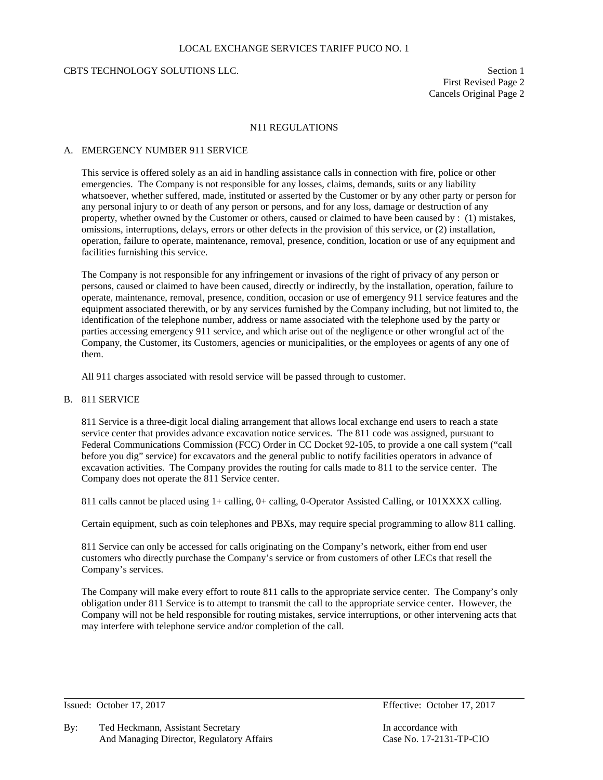### LOCAL EXCHANGE SERVICES TARIFF PUCO NO. 1

### CBTS TECHNOLOGY SOLUTIONS LLC. Section 1

First Revised Page 2 Cancels Original Page 2

### N11 REGULATIONS

#### A. EMERGENCY NUMBER 911 SERVICE

This service is offered solely as an aid in handling assistance calls in connection with fire, police or other emergencies. The Company is not responsible for any losses, claims, demands, suits or any liability whatsoever, whether suffered, made, instituted or asserted by the Customer or by any other party or person for any personal injury to or death of any person or persons, and for any loss, damage or destruction of any property, whether owned by the Customer or others, caused or claimed to have been caused by : (1) mistakes, omissions, interruptions, delays, errors or other defects in the provision of this service, or (2) installation, operation, failure to operate, maintenance, removal, presence, condition, location or use of any equipment and facilities furnishing this service.

The Company is not responsible for any infringement or invasions of the right of privacy of any person or persons, caused or claimed to have been caused, directly or indirectly, by the installation, operation, failure to operate, maintenance, removal, presence, condition, occasion or use of emergency 911 service features and the equipment associated therewith, or by any services furnished by the Company including, but not limited to, the identification of the telephone number, address or name associated with the telephone used by the party or parties accessing emergency 911 service, and which arise out of the negligence or other wrongful act of the Company, the Customer, its Customers, agencies or municipalities, or the employees or agents of any one of them.

All 911 charges associated with resold service will be passed through to customer.

# B. 811 SERVICE

811 Service is a three-digit local dialing arrangement that allows local exchange end users to reach a state service center that provides advance excavation notice services. The 811 code was assigned, pursuant to Federal Communications Commission (FCC) Order in CC Docket 92-105, to provide a one call system ("call before you dig" service) for excavators and the general public to notify facilities operators in advance of excavation activities. The Company provides the routing for calls made to 811 to the service center. The Company does not operate the 811 Service center.

811 calls cannot be placed using 1+ calling, 0+ calling, 0-Operator Assisted Calling, or 101XXXX calling.

Certain equipment, such as coin telephones and PBXs, may require special programming to allow 811 calling.

811 Service can only be accessed for calls originating on the Company's network, either from end user customers who directly purchase the Company's service or from customers of other LECs that resell the Company's services.

The Company will make every effort to route 811 calls to the appropriate service center. The Company's only obligation under 811 Service is to attempt to transmit the call to the appropriate service center. However, the Company will not be held responsible for routing mistakes, service interruptions, or other intervening acts that may interfere with telephone service and/or completion of the call.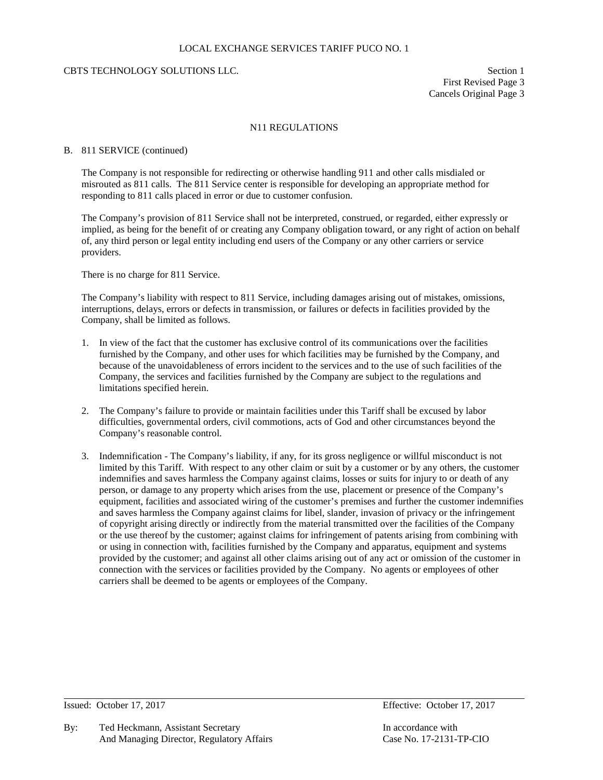### LOCAL EXCHANGE SERVICES TARIFF PUCO NO. 1

## CBTS TECHNOLOGY SOLUTIONS LLC. Section 1

First Revised Page 3 Cancels Original Page 3

## N11 REGULATIONS

#### B. 811 SERVICE (continued)

The Company is not responsible for redirecting or otherwise handling 911 and other calls misdialed or misrouted as 811 calls. The 811 Service center is responsible for developing an appropriate method for responding to 811 calls placed in error or due to customer confusion.

The Company's provision of 811 Service shall not be interpreted, construed, or regarded, either expressly or implied, as being for the benefit of or creating any Company obligation toward, or any right of action on behalf of, any third person or legal entity including end users of the Company or any other carriers or service providers.

There is no charge for 811 Service.

The Company's liability with respect to 811 Service, including damages arising out of mistakes, omissions, interruptions, delays, errors or defects in transmission, or failures or defects in facilities provided by the Company, shall be limited as follows.

- 1. In view of the fact that the customer has exclusive control of its communications over the facilities furnished by the Company, and other uses for which facilities may be furnished by the Company, and because of the unavoidableness of errors incident to the services and to the use of such facilities of the Company, the services and facilities furnished by the Company are subject to the regulations and limitations specified herein.
- 2. The Company's failure to provide or maintain facilities under this Tariff shall be excused by labor difficulties, governmental orders, civil commotions, acts of God and other circumstances beyond the Company's reasonable control.
- 3. Indemnification The Company's liability, if any, for its gross negligence or willful misconduct is not limited by this Tariff. With respect to any other claim or suit by a customer or by any others, the customer indemnifies and saves harmless the Company against claims, losses or suits for injury to or death of any person, or damage to any property which arises from the use, placement or presence of the Company's equipment, facilities and associated wiring of the customer's premises and further the customer indemnifies and saves harmless the Company against claims for libel, slander, invasion of privacy or the infringement of copyright arising directly or indirectly from the material transmitted over the facilities of the Company or the use thereof by the customer; against claims for infringement of patents arising from combining with or using in connection with, facilities furnished by the Company and apparatus, equipment and systems provided by the customer; and against all other claims arising out of any act or omission of the customer in connection with the services or facilities provided by the Company. No agents or employees of other carriers shall be deemed to be agents or employees of the Company.